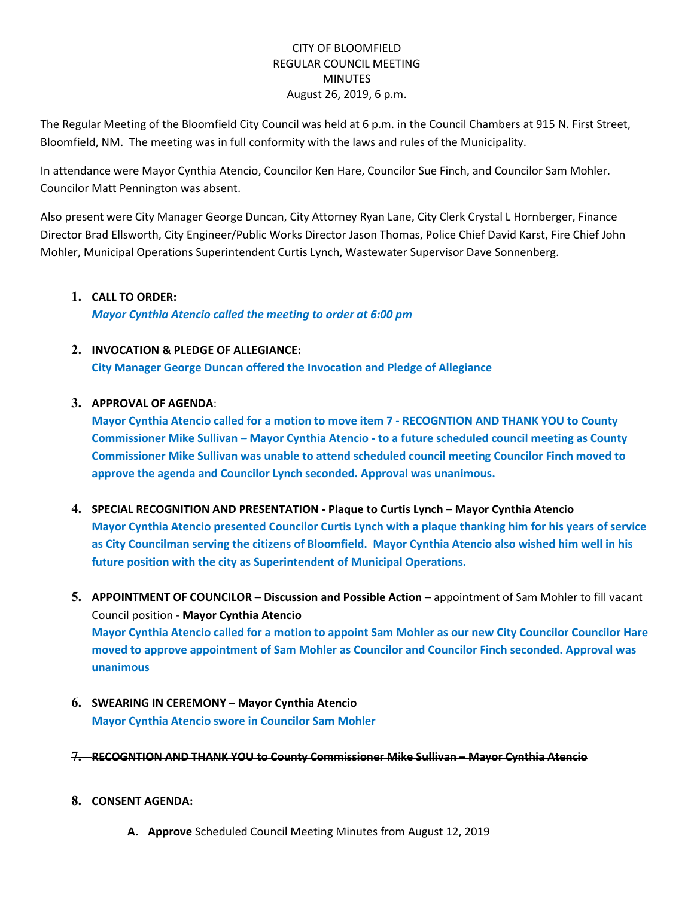# CITY OF BLOOMFIELD REGULAR COUNCIL MEETING MINUTES August 26, 2019, 6 p.m.

The Regular Meeting of the Bloomfield City Council was held at 6 p.m. in the Council Chambers at 915 N. First Street, Bloomfield, NM. The meeting was in full conformity with the laws and rules of the Municipality.

In attendance were Mayor Cynthia Atencio, Councilor Ken Hare, Councilor Sue Finch, and Councilor Sam Mohler. Councilor Matt Pennington was absent.

Also present were City Manager George Duncan, City Attorney Ryan Lane, City Clerk Crystal L Hornberger, Finance Director Brad Ellsworth, City Engineer/Public Works Director Jason Thomas, Police Chief David Karst, Fire Chief John Mohler, Municipal Operations Superintendent Curtis Lynch, Wastewater Supervisor Dave Sonnenberg.

## **1. CALL TO ORDER:**

*Mayor Cynthia Atencio called the meeting to order at 6:00 pm*

## **2. INVOCATION & PLEDGE OF ALLEGIANCE:**

**City Manager George Duncan offered the Invocation and Pledge of Allegiance**

## **3. APPROVAL OF AGENDA**:

**Mayor Cynthia Atencio called for a motion to move item 7 - RECOGNTION AND THANK YOU to County Commissioner Mike Sullivan – Mayor Cynthia Atencio - to a future scheduled council meeting as County Commissioner Mike Sullivan was unable to attend scheduled council meeting Councilor Finch moved to approve the agenda and Councilor Lynch seconded. Approval was unanimous.**

- **4. SPECIAL RECOGNITION AND PRESENTATION - Plaque to Curtis Lynch – Mayor Cynthia Atencio Mayor Cynthia Atencio presented Councilor Curtis Lynch with a plaque thanking him for his years of service as City Councilman serving the citizens of Bloomfield. Mayor Cynthia Atencio also wished him well in his future position with the city as Superintendent of Municipal Operations.**
- **5. APPOINTMENT OF COUNCILOR – Discussion and Possible Action –** appointment of Sam Mohler to fill vacant Council position - **Mayor Cynthia Atencio Mayor Cynthia Atencio called for a motion to appoint Sam Mohler as our new City Councilor Councilor Hare moved to approve appointment of Sam Mohler as Councilor and Councilor Finch seconded. Approval was unanimous**
- **6. SWEARING IN CEREMONY – Mayor Cynthia Atencio Mayor Cynthia Atencio swore in Councilor Sam Mohler**
- **7. RECOGNTION AND THANK YOU to County Commissioner Mike Sullivan – Mayor Cynthia Atencio**

### **8. CONSENT AGENDA:**

**A. Approve** Scheduled Council Meeting Minutes from August 12, 2019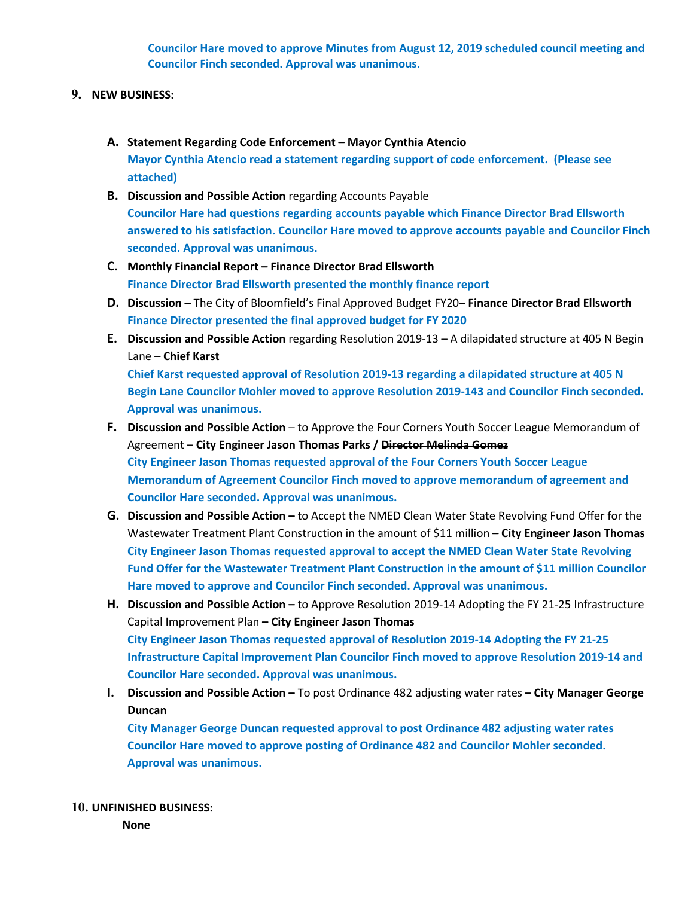**Councilor Hare moved to approve Minutes from August 12, 2019 scheduled council meeting and Councilor Finch seconded. Approval was unanimous.** 

### **9. NEW BUSINESS:**

- **A. Statement Regarding Code Enforcement – Mayor Cynthia Atencio Mayor Cynthia Atencio read a statement regarding support of code enforcement. (Please see attached)**
- **B.** Discussion and Possible Action regarding Accounts Payable **Councilor Hare had questions regarding accounts payable which Finance Director Brad Ellsworth answered to his satisfaction. Councilor Hare moved to approve accounts payable and Councilor Finch seconded. Approval was unanimous.**
- **C. Monthly Financial Report – Finance Director Brad Ellsworth Finance Director Brad Ellsworth presented the monthly finance report**
- **D. Discussion –** The City of Bloomfield's Final Approved Budget FY20**– Finance Director Brad Ellsworth Finance Director presented the final approved budget for FY 2020**
- **E. Discussion and Possible Action** regarding Resolution 2019-13 A dilapidated structure at 405 N Begin Lane – **Chief Karst**

**Chief Karst requested approval of Resolution 2019-13 regarding a dilapidated structure at 405 N Begin Lane Councilor Mohler moved to approve Resolution 2019-143 and Councilor Finch seconded. Approval was unanimous.** 

- **F. Discussion and Possible Action** to Approve the Four Corners Youth Soccer League Memorandum of Agreement – **City Engineer Jason Thomas Parks / Director Melinda Gomez City Engineer Jason Thomas requested approval of the Four Corners Youth Soccer League Memorandum of Agreement Councilor Finch moved to approve memorandum of agreement and Councilor Hare seconded. Approval was unanimous.**
- **G. Discussion and Possible Action –** to Accept the NMED Clean Water State Revolving Fund Offer for the Wastewater Treatment Plant Construction in the amount of \$11 million **– City Engineer Jason Thomas City Engineer Jason Thomas requested approval to accept the NMED Clean Water State Revolving Fund Offer for the Wastewater Treatment Plant Construction in the amount of \$11 million Councilor Hare moved to approve and Councilor Finch seconded. Approval was unanimous.**
- **H. Discussion and Possible Action –** to Approve Resolution 2019-14 Adopting the FY 21-25 Infrastructure Capital Improvement Plan **– City Engineer Jason Thomas City Engineer Jason Thomas requested approval of Resolution 2019-14 Adopting the FY 21-25 Infrastructure Capital Improvement Plan Councilor Finch moved to approve Resolution 2019-14 and Councilor Hare seconded. Approval was unanimous.**
- **I. Discussion and Possible Action –** To post Ordinance 482 adjusting water rates **– City Manager George Duncan**

**City Manager George Duncan requested approval to post Ordinance 482 adjusting water rates Councilor Hare moved to approve posting of Ordinance 482 and Councilor Mohler seconded. Approval was unanimous.** 

**10. UNFINISHED BUSINESS:** 

**None**